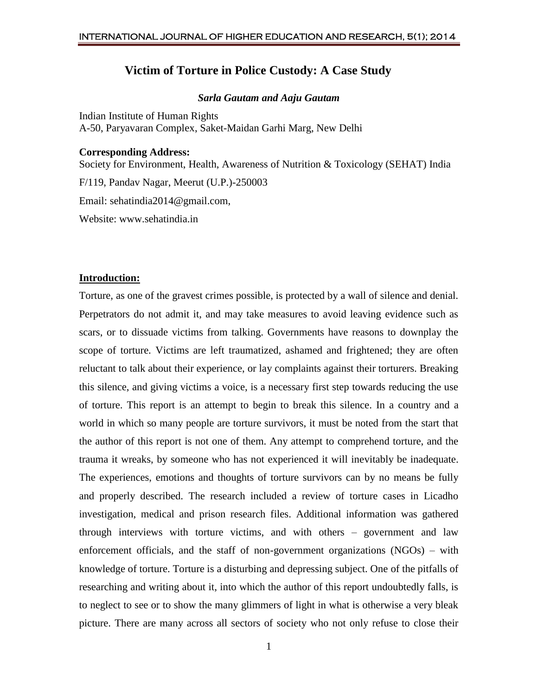# **Victim of Torture in Police Custody: A Case Study**

#### *Sarla Gautam and Aaju Gautam*

Indian Institute of Human Rights A-50, Paryavaran Complex, Saket-Maidan Garhi Marg, New Delhi

#### **Corresponding Address:**

Society for Environment, Health, Awareness of Nutrition & Toxicology (SEHAT) India

F/119, Pandav Nagar, Meerut (U.P.)-250003

Email: sehatindia2014@gmail.com,

Website: www.sehatindia.in

#### **Introduction:**

Torture, as one of the gravest crimes possible, is protected by a wall of silence and denial. Perpetrators do not admit it, and may take measures to avoid leaving evidence such as scars, or to dissuade victims from talking. Governments have reasons to downplay the scope of torture. Victims are left traumatized, ashamed and frightened; they are often reluctant to talk about their experience, or lay complaints against their torturers. Breaking this silence, and giving victims a voice, is a necessary first step towards reducing the use of torture. This report is an attempt to begin to break this silence. In a country and a world in which so many people are torture survivors, it must be noted from the start that the author of this report is not one of them. Any attempt to comprehend torture, and the trauma it wreaks, by someone who has not experienced it will inevitably be inadequate. The experiences, emotions and thoughts of torture survivors can by no means be fully and properly described. The research included a review of torture cases in Licadho investigation, medical and prison research files. Additional information was gathered through interviews with torture victims, and with others – government and law enforcement officials, and the staff of non-government organizations (NGOs) – with knowledge of torture. Torture is a disturbing and depressing subject. One of the pitfalls of researching and writing about it, into which the author of this report undoubtedly falls, is to neglect to see or to show the many glimmers of light in what is otherwise a very bleak picture. There are many across all sectors of society who not only refuse to close their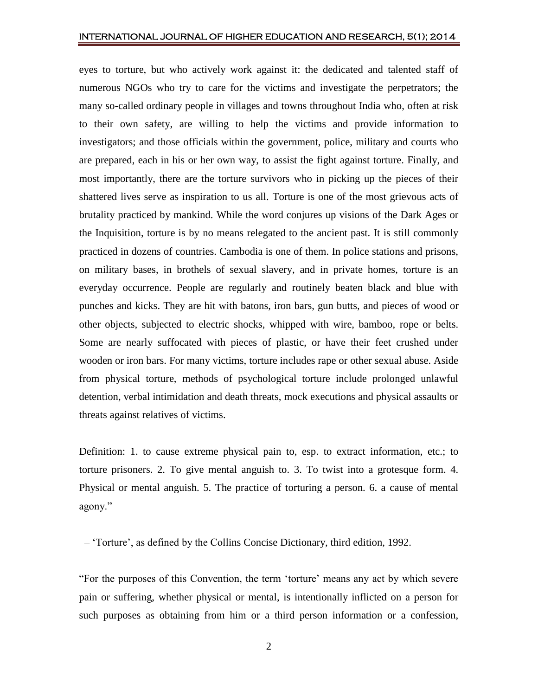eyes to torture, but who actively work against it: the dedicated and talented staff of numerous NGOs who try to care for the victims and investigate the perpetrators; the many so-called ordinary people in villages and towns throughout India who, often at risk to their own safety, are willing to help the victims and provide information to investigators; and those officials within the government, police, military and courts who are prepared, each in his or her own way, to assist the fight against torture. Finally, and most importantly, there are the torture survivors who in picking up the pieces of their shattered lives serve as inspiration to us all. Torture is one of the most grievous acts of brutality practiced by mankind. While the word conjures up visions of the Dark Ages or the Inquisition, torture is by no means relegated to the ancient past. It is still commonly practiced in dozens of countries. Cambodia is one of them. In police stations and prisons, on military bases, in brothels of sexual slavery, and in private homes, torture is an everyday occurrence. People are regularly and routinely beaten black and blue with punches and kicks. They are hit with batons, iron bars, gun butts, and pieces of wood or other objects, subjected to electric shocks, whipped with wire, bamboo, rope or belts. Some are nearly suffocated with pieces of plastic, or have their feet crushed under wooden or iron bars. For many victims, torture includes rape or other sexual abuse. Aside from physical torture, methods of psychological torture include prolonged unlawful detention, verbal intimidation and death threats, mock executions and physical assaults or threats against relatives of victims.

Definition: 1. to cause extreme physical pain to, esp. to extract information, etc.; to torture prisoners. 2. To give mental anguish to. 3. To twist into a grotesque form. 4. Physical or mental anguish. 5. The practice of torturing a person. 6. a cause of mental agony."

– 'Torture', as defined by the Collins Concise Dictionary, third edition, 1992.

"For the purposes of this Convention, the term 'torture' means any act by which severe pain or suffering, whether physical or mental, is intentionally inflicted on a person for such purposes as obtaining from him or a third person information or a confession,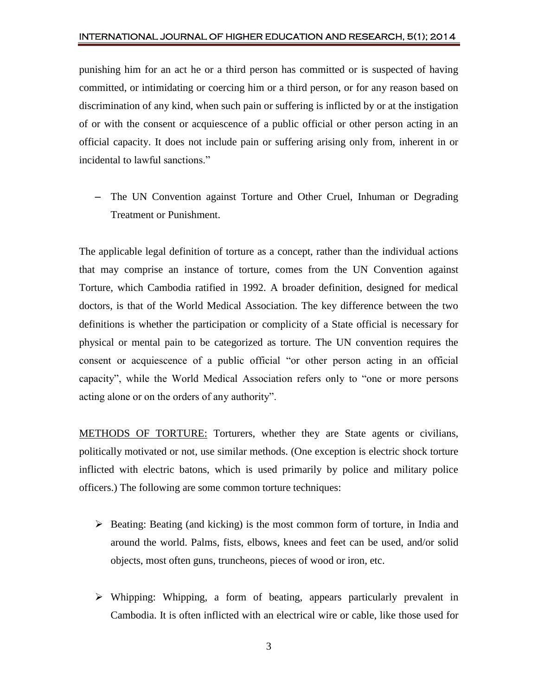punishing him for an act he or a third person has committed or is suspected of having committed, or intimidating or coercing him or a third person, or for any reason based on discrimination of any kind, when such pain or suffering is inflicted by or at the instigation of or with the consent or acquiescence of a public official or other person acting in an official capacity. It does not include pain or suffering arising only from, inherent in or incidental to lawful sanctions."

– The UN Convention against Torture and Other Cruel, Inhuman or Degrading Treatment or Punishment.

The applicable legal definition of torture as a concept, rather than the individual actions that may comprise an instance of torture, comes from the UN Convention against Torture, which Cambodia ratified in 1992. A broader definition, designed for medical doctors, is that of the World Medical Association. The key difference between the two definitions is whether the participation or complicity of a State official is necessary for physical or mental pain to be categorized as torture. The UN convention requires the consent or acquiescence of a public official "or other person acting in an official capacity", while the World Medical Association refers only to "one or more persons acting alone or on the orders of any authority".

METHODS OF TORTURE: Torturers, whether they are State agents or civilians, politically motivated or not, use similar methods. (One exception is electric shock torture inflicted with electric batons, which is used primarily by police and military police officers.) The following are some common torture techniques:

- $\triangleright$  Beating: Beating (and kicking) is the most common form of torture, in India and around the world. Palms, fists, elbows, knees and feet can be used, and/or solid objects, most often guns, truncheons, pieces of wood or iron, etc.
- $\triangleright$  Whipping: Whipping, a form of beating, appears particularly prevalent in Cambodia. It is often inflicted with an electrical wire or cable, like those used for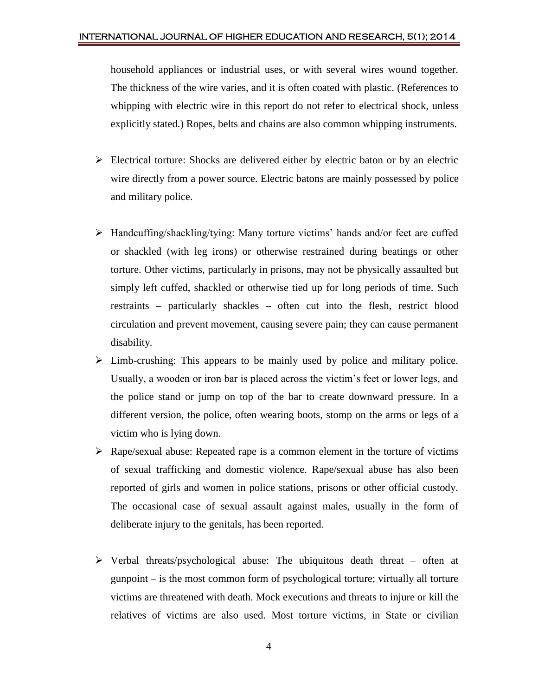household appliances or industrial uses, or with several wires wound together. The thickness of the wire varies, and it is often coated with plastic. (References to whipping with electric wire in this report do not refer to electrical shock, unless explicitly stated.) Ropes, belts and chains are also common whipping instruments.

- $\triangleright$  Electrical torture: Shocks are delivered either by electric baton or by an electric wire directly from a power source. Electric batons are mainly possessed by police and military police.
- Handcuffing/shackling/tying: Many torture victims' hands and/or feet are cuffed or shackled (with leg irons) or otherwise restrained during beatings or other torture. Other victims, particularly in prisons, may not be physically assaulted but simply left cuffed, shackled or otherwise tied up for long periods of time. Such restraints – particularly shackles – often cut into the flesh, restrict blood circulation and prevent movement, causing severe pain; they can cause permanent disability.
- $\triangleright$  Limb-crushing: This appears to be mainly used by police and military police. Usually, a wooden or iron bar is placed across the victim's feet or lower legs, and the police stand or jump on top of the bar to create downward pressure. In a different version, the police, often wearing boots, stomp on the arms or legs of a victim who is lying down.
- $\triangleright$  Rape/sexual abuse: Repeated rape is a common element in the torture of victims of sexual trafficking and domestic violence. Rape/sexual abuse has also been reported of girls and women in police stations, prisons or other official custody. The occasional case of sexual assault against males, usually in the form of deliberate injury to the genitals, has been reported.
- $\triangleright$  Verbal threats/psychological abuse: The ubiquitous death threat often at gunpoint – is the most common form of psychological torture; virtually all torture victims are threatened with death. Mock executions and threats to injure or kill the relatives of victims are also used. Most torture victims, in State or civilian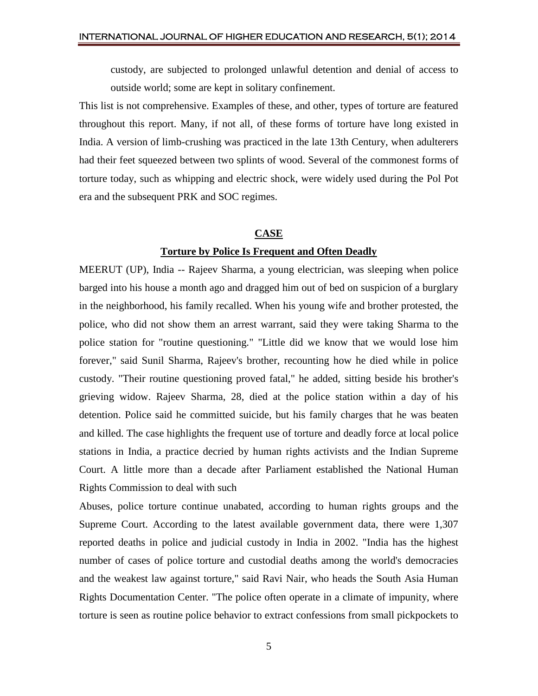custody, are subjected to prolonged unlawful detention and denial of access to outside world; some are kept in solitary confinement.

This list is not comprehensive. Examples of these, and other, types of torture are featured throughout this report. Many, if not all, of these forms of torture have long existed in India. A version of limb-crushing was practiced in the late 13th Century, when adulterers had their feet squeezed between two splints of wood. Several of the commonest forms of torture today, such as whipping and electric shock, were widely used during the Pol Pot era and the subsequent PRK and SOC regimes.

### **CASE**

## **Torture by Police Is Frequent and Often Deadly**

MEERUT (UP), India -- Rajeev Sharma, a young electrician, was sleeping when police barged into his house a month ago and dragged him out of bed on suspicion of a burglary in the neighborhood, his family recalled. When his young wife and brother protested, the police, who did not show them an arrest warrant, said they were taking Sharma to the police station for "routine questioning." "Little did we know that we would lose him forever," said Sunil Sharma, Rajeev's brother, recounting how he died while in police custody. "Their routine questioning proved fatal," he added, sitting beside his brother's grieving widow. Rajeev Sharma, 28, died at the police station within a day of his detention. Police said he committed suicide, but his family charges that he was beaten and killed. The case highlights the frequent use of torture and deadly force at local police stations in India, a practice decried by human rights activists and the Indian Supreme Court. A little more than a decade after Parliament established the National Human Rights Commission to deal with such

Abuses, police torture continue unabated, according to human rights groups and the Supreme Court. According to the latest available government data, there were 1,307 reported deaths in police and judicial custody in India in 2002. "India has the highest number of cases of police torture and custodial deaths among the world's democracies and the weakest law against torture," said Ravi Nair, who heads the South Asia Human Rights Documentation Center. "The police often operate in a climate of impunity, where torture is seen as routine police behavior to extract confessions from small pickpockets to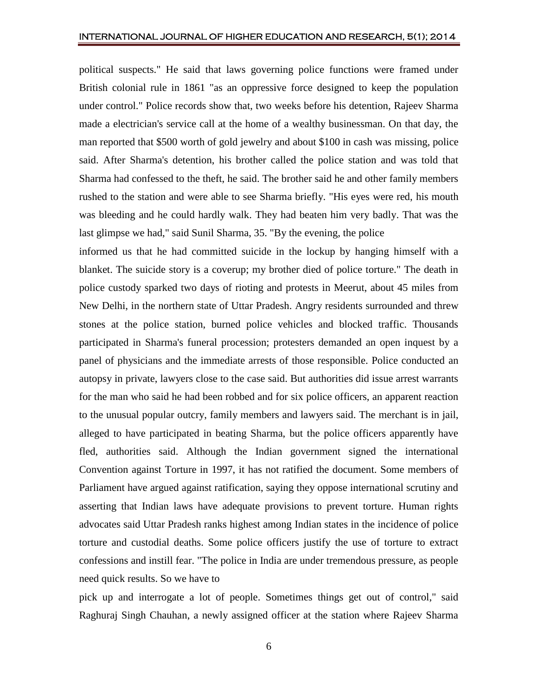political suspects." He said that laws governing police functions were framed under British colonial rule in 1861 "as an oppressive force designed to keep the population under control." Police records show that, two weeks before his detention, Rajeev Sharma made a electrician's service call at the home of a wealthy businessman. On that day, the man reported that \$500 worth of gold jewelry and about \$100 in cash was missing, police said. After Sharma's detention, his brother called the police station and was told that Sharma had confessed to the theft, he said. The brother said he and other family members rushed to the station and were able to see Sharma briefly. "His eyes were red, his mouth was bleeding and he could hardly walk. They had beaten him very badly. That was the last glimpse we had," said Sunil Sharma, 35. "By the evening, the police

informed us that he had committed suicide in the lockup by hanging himself with a blanket. The suicide story is a coverup; my brother died of police torture." The death in police custody sparked two days of rioting and protests in Meerut, about 45 miles from New Delhi, in the northern state of Uttar Pradesh. Angry residents surrounded and threw stones at the police station, burned police vehicles and blocked traffic. Thousands participated in Sharma's funeral procession; protesters demanded an open inquest by a panel of physicians and the immediate arrests of those responsible. Police conducted an autopsy in private, lawyers close to the case said. But authorities did issue arrest warrants for the man who said he had been robbed and for six police officers, an apparent reaction to the unusual popular outcry, family members and lawyers said. The merchant is in jail, alleged to have participated in beating Sharma, but the police officers apparently have fled, authorities said. Although the Indian government signed the international Convention against Torture in 1997, it has not ratified the document. Some members of Parliament have argued against ratification, saying they oppose international scrutiny and asserting that Indian laws have adequate provisions to prevent torture. Human rights advocates said Uttar Pradesh ranks highest among Indian states in the incidence of police torture and custodial deaths. Some police officers justify the use of torture to extract confessions and instill fear. "The police in India are under tremendous pressure, as people need quick results. So we have to

pick up and interrogate a lot of people. Sometimes things get out of control," said Raghuraj Singh Chauhan, a newly assigned officer at the station where Rajeev Sharma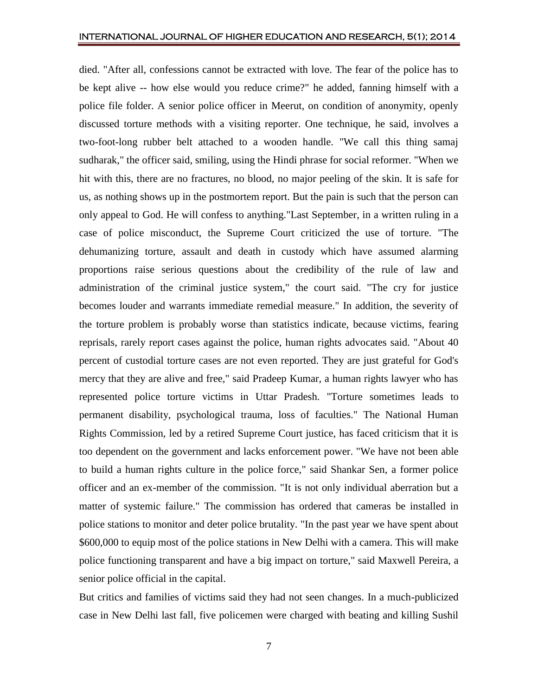died. "After all, confessions cannot be extracted with love. The fear of the police has to be kept alive -- how else would you reduce crime?" he added, fanning himself with a police file folder. A senior police officer in Meerut, on condition of anonymity, openly discussed torture methods with a visiting reporter. One technique, he said, involves a two-foot-long rubber belt attached to a wooden handle. "We call this thing samaj sudharak," the officer said, smiling, using the Hindi phrase for social reformer. "When we hit with this, there are no fractures, no blood, no major peeling of the skin. It is safe for us, as nothing shows up in the postmortem report. But the pain is such that the person can only appeal to God. He will confess to anything."Last September, in a written ruling in a case of police misconduct, the Supreme Court criticized the use of torture. "The dehumanizing torture, assault and death in custody which have assumed alarming proportions raise serious questions about the credibility of the rule of law and administration of the criminal justice system," the court said. "The cry for justice becomes louder and warrants immediate remedial measure." In addition, the severity of the torture problem is probably worse than statistics indicate, because victims, fearing reprisals, rarely report cases against the police, human rights advocates said. "About 40 percent of custodial torture cases are not even reported. They are just grateful for God's mercy that they are alive and free," said Pradeep Kumar, a human rights lawyer who has represented police torture victims in Uttar Pradesh. "Torture sometimes leads to permanent disability, psychological trauma, loss of faculties." The National Human Rights Commission, led by a retired Supreme Court justice, has faced criticism that it is too dependent on the government and lacks enforcement power. "We have not been able to build a human rights culture in the police force," said Shankar Sen, a former police officer and an ex-member of the commission. "It is not only individual aberration but a matter of systemic failure." The commission has ordered that cameras be installed in police stations to monitor and deter police brutality. "In the past year we have spent about \$600,000 to equip most of the police stations in New Delhi with a camera. This will make police functioning transparent and have a big impact on torture," said Maxwell Pereira, a senior police official in the capital.

But critics and families of victims said they had not seen changes. In a much-publicized case in New Delhi last fall, five policemen were charged with beating and killing Sushil